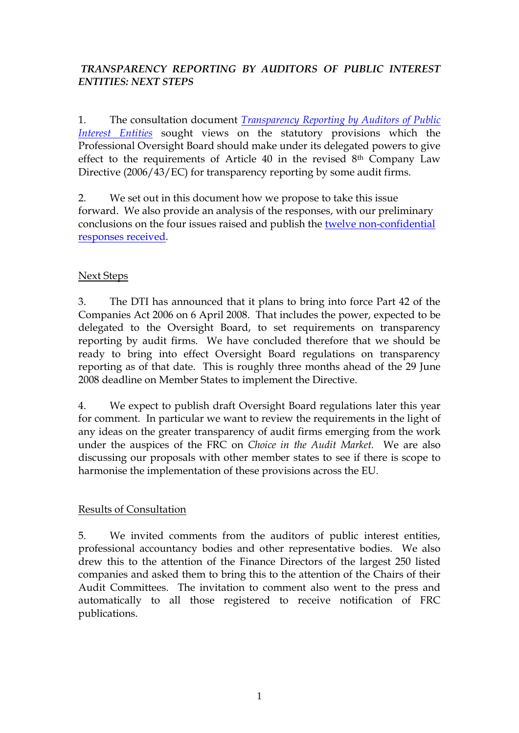## *TRANSPARENCY REPORTING BY AUDITORS OF PUBLIC INTEREST ENTITIES: NEXT STEPS*

1. The consultation document *[Transparency Reporting by Auditors of Public](http://www.frc.org.uk/images/uploaded/documents/POB%20trans%20consdocument%20final.pdf)  [Interest Entities](http://www.frc.org.uk/images/uploaded/documents/POB%20trans%20consdocument%20final.pdf)* sought views on the statutory provisions which the Professional Oversight Board should make under its delegated powers to give effect to the requirements of Article 40 in the revised 8th Company Law Directive (2006/43/EC) for transparency reporting by some audit firms.

2. We set out in this document how we propose to take this issue forward. We also provide an analysis of the responses, with our preliminary conclusions on the four issues raised and publish the twelve [non-confidential](http://www.frc.org.uk/documents/pagemanager/pob/Responses%20to%20Transparency%20Consultation.doc)  [responses received.](http://www.frc.org.uk/documents/pagemanager/pob/Responses%20to%20Transparency%20Consultation.doc)

## Next Steps

3. The DTI has announced that it plans to bring into force Part 42 of the Companies Act 2006 on 6 April 2008. That includes the power, expected to be delegated to the Oversight Board, to set requirements on transparency reporting by audit firms. We have concluded therefore that we should be ready to bring into effect Oversight Board regulations on transparency reporting as of that date. This is roughly three months ahead of the 29 June 2008 deadline on Member States to implement the Directive.

4. We expect to publish draft Oversight Board regulations later this year for comment. In particular we want to review the requirements in the light of any ideas on the greater transparency of audit firms emerging from the work under the auspices of the FRC on *Choice in the Audit Market.* We are also discussing our proposals with other member states to see if there is scope to harmonise the implementation of these provisions across the EU.

## Results of Consultation

5. We invited comments from the auditors of public interest entities, professional accountancy bodies and other representative bodies. We also drew this to the attention of the Finance Directors of the largest 250 listed companies and asked them to bring this to the attention of the Chairs of their Audit Committees. The invitation to comment also went to the press and automatically to all those registered to receive notification of FRC publications.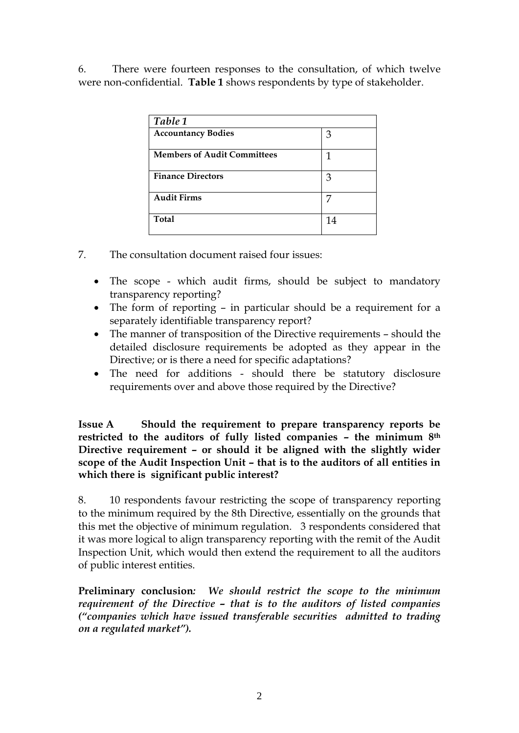6. There were fourteen responses to the consultation, of which twelve were non-confidential. **Table 1** shows respondents by type of stakeholder.

| Table 1                            |    |
|------------------------------------|----|
| <b>Accountancy Bodies</b>          | З  |
| <b>Members of Audit Committees</b> | 1  |
| <b>Finance Directors</b>           | 3  |
| <b>Audit Firms</b>                 |    |
| <b>Total</b>                       | 14 |

- 7. The consultation document raised four issues:
	- The scope which audit firms, should be subject to mandatory transparency reporting?
	- The form of reporting in particular should be a requirement for a separately identifiable transparency report?
	- The manner of transposition of the Directive requirements should the detailed disclosure requirements be adopted as they appear in the Directive; or is there a need for specific adaptations?
	- The need for additions should there be statutory disclosure requirements over and above those required by the Directive?

**Issue A Should the requirement to prepare transparency reports be restricted to the auditors of fully listed companies – the minimum 8th Directive requirement – or should it be aligned with the slightly wider scope of the Audit Inspection Unit – that is to the auditors of all entities in which there is significant public interest?**

8. 10 respondents favour restricting the scope of transparency reporting to the minimum required by the 8th Directive, essentially on the grounds that this met the objective of minimum regulation. 3 respondents considered that it was more logical to align transparency reporting with the remit of the Audit Inspection Unit, which would then extend the requirement to all the auditors of public interest entities.

**Preliminary conclusion***: We should restrict the scope to the minimum requirement of the Directive – that is to the auditors of listed companies ("companies which have issued transferable securities admitted to trading on a regulated market").*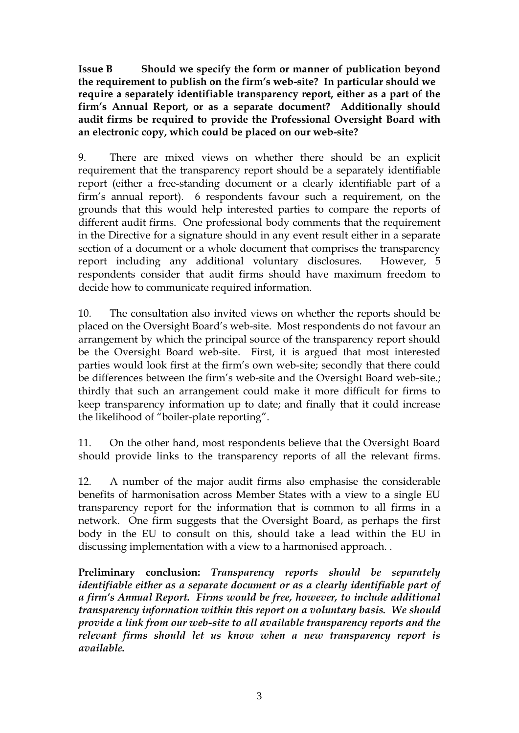**Issue B Should we specify the form or manner of publication beyond the requirement to publish on the firm's web-site? In particular should we require a separately identifiable transparency report, either as a part of the firm's Annual Report, or as a separate document? Additionally should audit firms be required to provide the Professional Oversight Board with an electronic copy, which could be placed on our web-site?** 

9. There are mixed views on whether there should be an explicit requirement that the transparency report should be a separately identifiable report (either a free-standing document or a clearly identifiable part of a firm's annual report). 6 respondents favour such a requirement, on the grounds that this would help interested parties to compare the reports of different audit firms. One professional body comments that the requirement in the Directive for a signature should in any event result either in a separate section of a document or a whole document that comprises the transparency report including any additional voluntary disclosures. However, 5 respondents consider that audit firms should have maximum freedom to decide how to communicate required information.

10. The consultation also invited views on whether the reports should be placed on the Oversight Board's web-site. Most respondents do not favour an arrangement by which the principal source of the transparency report should be the Oversight Board web-site. First, it is argued that most interested parties would look first at the firm's own web-site; secondly that there could be differences between the firm's web-site and the Oversight Board web-site.; thirdly that such an arrangement could make it more difficult for firms to keep transparency information up to date; and finally that it could increase the likelihood of "boiler-plate reporting".

11. On the other hand, most respondents believe that the Oversight Board should provide links to the transparency reports of all the relevant firms.

12. A number of the major audit firms also emphasise the considerable benefits of harmonisation across Member States with a view to a single EU transparency report for the information that is common to all firms in a network. One firm suggests that the Oversight Board, as perhaps the first body in the EU to consult on this, should take a lead within the EU in discussing implementation with a view to a harmonised approach. .

**Preliminary conclusion:** *Transparency reports should be separately identifiable either as a separate document or as a clearly identifiable part of a firm's Annual Report. Firms would be free, however, to include additional transparency information within this report on a voluntary basis. We should provide a link from our web-site to all available transparency reports and the relevant firms should let us know when a new transparency report is available.*